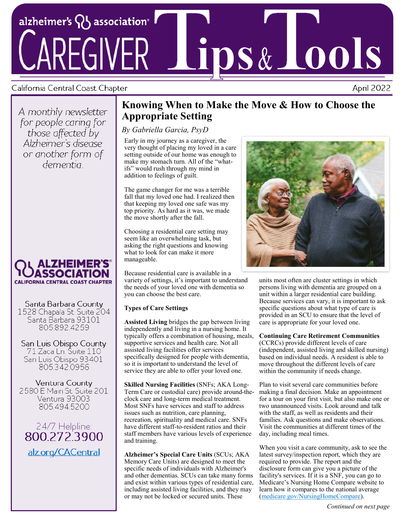

## California Central Coast Chapter

April 2022

A monthly newsletter for people caring for those affected by Alzheimer's disease or another form of dementia



Santa Barbara County 1528 Chapala St. Suite 204 Santa Barbara 93101 805.892.4259

San Luis Obispo County 71 Zaca Ln. Suite 110 San Luis Obispo 93401 805.342.0956

Ventura County 2580 E Main St. Suite 201 Ventura 93003 805.494.5200

24/7 Helpline:<br>800.272.3900 alz.org/CACentral

# **Knowing When to Make the Move & How to Choose the Appropriate Setting**

## *By Gabriella Garcia, PsyD*

Early in my journey as a caregiver, the very thought of placing my loved in a care setting outside of our home was enough to make my stomach turn. All of the "whatifs" would rush through my mind in addition to feelings of guilt.

The game changer for me was a terrible fall that my loved one had. I realized then that keeping my loved one safe was my top priority. As hard as it was, we made the move shortly after the fall.

Choosing a residential care setting may seem like an overwhelming task, but asking the right questions and knowing what to look for can make it more manageable.

Because residential care is available in a variety of settings, it's important to understand the needs of your loved one with dementia so you can choose the best care.

### **Types of Care Settings**

**Assisted Living** bridges the gap between living independently and living in a nursing home. It typically offers a combination of housing, meals, supportive services and health care. Not all assisted living facilities offer services specifically designed for people with dementia, so it is important to understand the level of service they are able to offer your loved one.

**Skilled Nursing Facilities** (SNFs; AKA Long-Term Care or custodial care) provide around-theclock care and long-term medical treatment. Most SNFs have services and staff to address issues such as nutrition, care planning, recreation, spirituality and medical care. SNFs have different staff-to-resident ratios and their staff members have various levels of experience and training.

**Alzheimer's Special Care Units** (SCUs; AKA Memory Care Units) are designed to meet the specific needs of individuals with Alzheimer's and other dementias. SCUs can take many forms and exist within various types of residential care, including assisted living facilities, and they may or may not be locked or secured units. These



units most often are cluster settings in which persons living with dementia are grouped on a unit within a larger residential care building. Because services can vary, it is important to ask specific questions about what type of care is provided in an SCU to ensure that the level of care is appropriate for your loved one.

#### **Continuing Care Retirement Communities**

(CCRCs) provide different levels of care (independent, assisted living and skilled nursing) based on individual needs. A resident is able to move throughout the different levels of care within the community if needs change.

Plan to visit several care communities before making a final decision. Make an appointment for a tour on your first visit, but also make one or two unannounced visits. Look around and talk with the staff, as well as residents and their families. Ask questions and make observations. Visit the communities at different times of the day, including meal times.

When you visit a care community, ask to see the latest survey/inspection report, which they are required to provide. The report and the disclosure form can give you a picture of the facility's services. If it is a SNF, you can go to Medicare's Nursing Home Compare website to learn how it compares to the national average ([medicare.gov/NursingHomeCompare\).](https://www.medicare.gov/care-compare/?providerType=NursingHome&redirect=true)